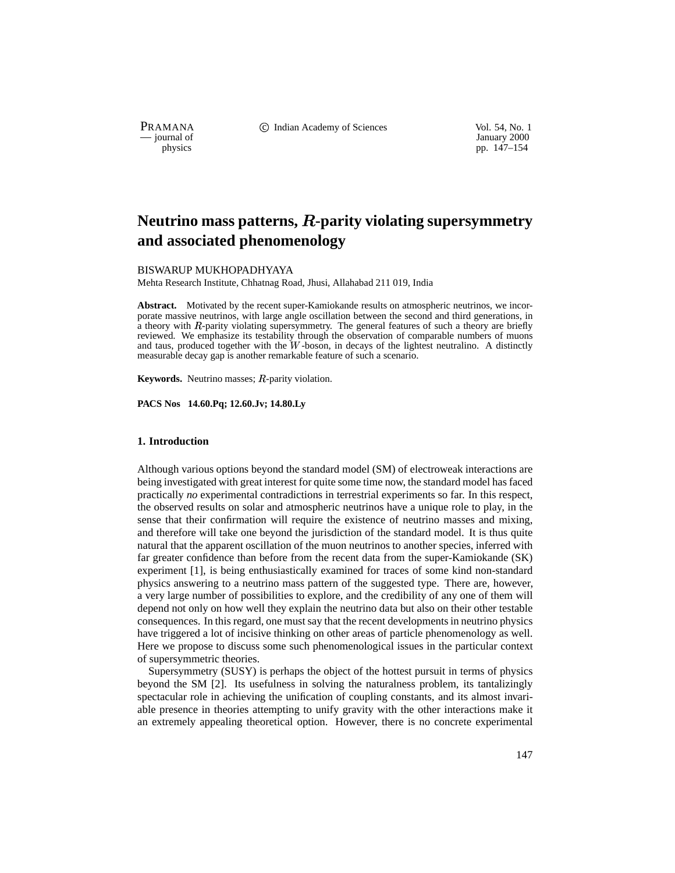PRAMANA **C** Indian Academy of Sciences Vol. 54, No. 1

- journal of January 2000<br>physics pp. 147–154 pp. 147–154

# Neutrino mass patterns, R-parity violating supersymmetry **and associated phenomenology**

BISWARUP MUKHOPADHYAYA

Mehta Research Institute, Chhatnag Road, Jhusi, Allahabad 211 019, India

**Abstract.** Motivated by the recent super-Kamiokande results on atmospheric neutrinos, we incorporate massive neutrinos, with large angle oscillation between the second and third generations, in a theory with  $R$ -parity violating supersymmetry. The general features of such a theory are briefly reviewed. We emphasize its testability through the observation of comparable numbers of muons and taus, produced together with the  $W$ -boson, in decays of the lightest neutralino. A distinctly measurable decay gap is another remarkable feature of such a scenario.

Keywords. Neutrino masses; R-parity violation.

**PACS Nos 14.60.Pq; 12.60.Jv; 14.80.Ly**

## **1. Introduction**

Although various options beyond the standard model (SM) of electroweak interactions are being investigated with great interest for quite some time now, the standard model has faced practically *no* experimental contradictions in terrestrial experiments so far. In this respect, the observed results on solar and atmospheric neutrinos have a unique role to play, in the sense that their confirmation will require the existence of neutrino masses and mixing, and therefore will take one beyond the jurisdiction of the standard model. It is thus quite natural that the apparent oscillation of the muon neutrinos to another species, inferred with far greater confidence than before from the recent data from the super-Kamiokande (SK) experiment [1], is being enthusiastically examined for traces of some kind non-standard physics answering to a neutrino mass pattern of the suggested type. There are, however, a very large number of possibilities to explore, and the credibility of any one of them will depend not only on how well they explain the neutrino data but also on their other testable consequences. In this regard, one must say that the recent developments in neutrino physics have triggered a lot of incisive thinking on other areas of particle phenomenology as well. Here we propose to discuss some such phenomenological issues in the particular context of supersymmetric theories.

Supersymmetry (SUSY) is perhaps the object of the hottest pursuit in terms of physics beyond the SM [2]. Its usefulness in solving the naturalness problem, its tantalizingly spectacular role in achieving the unification of coupling constants, and its almost invariable presence in theories attempting to unify gravity with the other interactions make it an extremely appealing theoretical option. However, there is no concrete experimental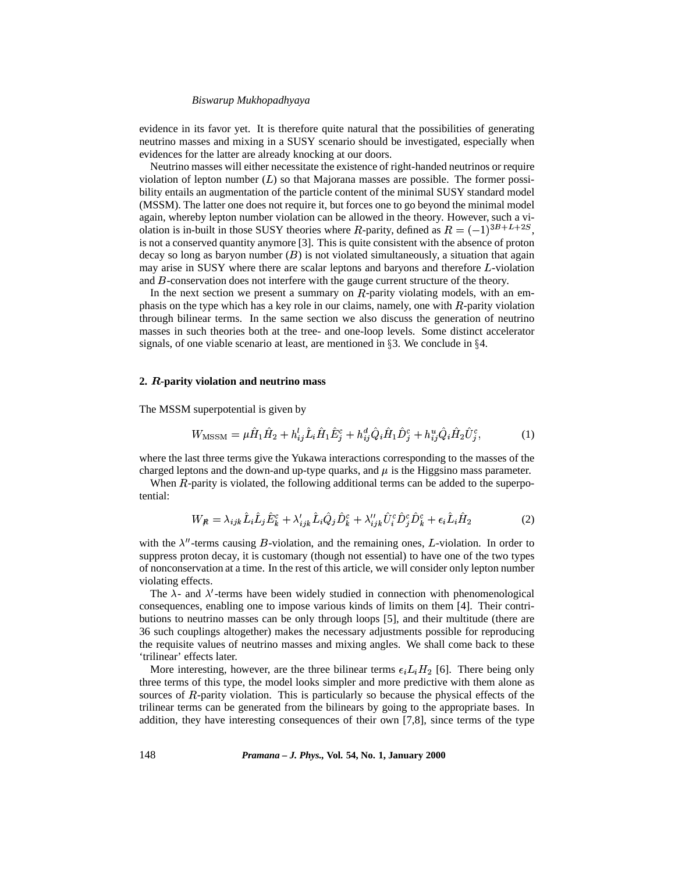evidence in its favor yet. It is therefore quite natural that the possibilities of generating neutrino masses and mixing in a SUSY scenario should be investigated, especially when evidences for the latter are already knocking at our doors.

Neutrino masses will either necessitate the existence of right-handed neutrinos or require violation of lepton number  $(L)$  so that Majorana masses are possible. The former possibility entails an augmentation of the particle content of the minimal SUSY standard model (MSSM). The latter one does not require it, but forces one to go beyond the minimal model again, whereby lepton number violation can be allowed in the theory. However, such a violation is in-built in those SUSY theories where R-parity, defined as  $R = (-1)^{3B+L+2S}$ , is not a conserved quantity anymore [3]. This is quite consistent with the absence of proton decay so long as baryon number  $(B)$  is not violated simultaneously, a situation that again may arise in SUSY where there are scalar leptons and baryons and therefore  $L$ -violation and  $B$ -conservation does not interfere with the gauge current structure of the theory.

In the next section we present a summary on  $R$ -parity violating models, with an emphasis on the type which has a key role in our claims, namely, one with  $R$ -parity violation through bilinear terms. In the same section we also discuss the generation of neutrino masses in such theories both at the tree- and one-loop levels. Some distinct accelerator signals, of one viable scenario at least, are mentioned in  $\S 3$ . We conclude in  $\S 4$ .

## **2. -parity violation and neutrino mass**

**Service Street Service Street Street Street Street Street Street Street Street Street Street Street Street St** 

<sup>4</sup>

The MSSM superpotential is given by

$$
W_{\text{MSSM}} = \mu \hat{H}_1 \hat{H}_2 + h_{ij}^l \hat{L}_i \hat{H}_1 \hat{E}_j^c + h_{ij}^d \hat{Q}_i \hat{H}_1 \hat{D}_j^c + h_{ij}^u \hat{Q}_i \hat{H}_2 \hat{U}_j^c, \tag{1}
$$

where the last three terms give the Yukawa interactions corresponding to the masses of the charged leptons and the down-and up-type quarks, and  $\mu$  is the Higgsino mass parameter.

When  $R$ -parity is violated, the following additional terms can be added to the superpotential:

**Service Street Service Street Street Street Street Street Street Street Street Street Street Street Street St** 

$$
W_{\mathcal{R}} = \lambda_{ijk} \hat{L}_i \hat{L}_j \hat{E}_k^c + \lambda_{ijk}^{\prime} \hat{L}_i \hat{Q}_j \hat{D}_k^c + \lambda_{ijk}^{\prime\prime} \hat{U}_i^c \hat{D}_j^c \hat{D}_k^c + \epsilon_i \hat{L}_i \hat{H}_2 \tag{2}
$$

**Service Street Service Street Street Street Street Street Street Street Street Street Street Street Street St** 

**Service Street Service Street Street Street Street Street Street Street Street Street Street Street Street St** 

with the  $\lambda''$ -terms causing B-violation, and the remaining ones, L-violation. In order to suppress proton decay, it is customary (though not essential) to have one of the two types of nonconservation at a time. In the rest of this article, we will consider only lepton number violating effects.

The  $\lambda$ - and  $\lambda'$ -terms have been widely studied in connection with phenomenological consequences, enabling one to impose various kinds of limits on them [4]. Their contributions to neutrino masses can be only through loops [5], and their multitude (there are 36 such couplings altogether) makes the necessary adjustments possible for reproducing the requisite values of neutrino masses and mixing angles. We shall come back to these 'trilinear' effects later.

More interesting, however, are the three bilinear terms  $\epsilon_i L_i H_2$  [6]. There being only three terms of this type, the model looks simpler and more predictive with them alone as sources of  $R$ -parity violation. This is particularly so because the physical effects of the trilinear terms can be generated from the bilinears by going to the appropriate bases. In addition, they have interesting consequences of their own [7,8], since terms of the type

148 *Pramana – J. Phys.,* **Vol. 54, No. 1, January 2000**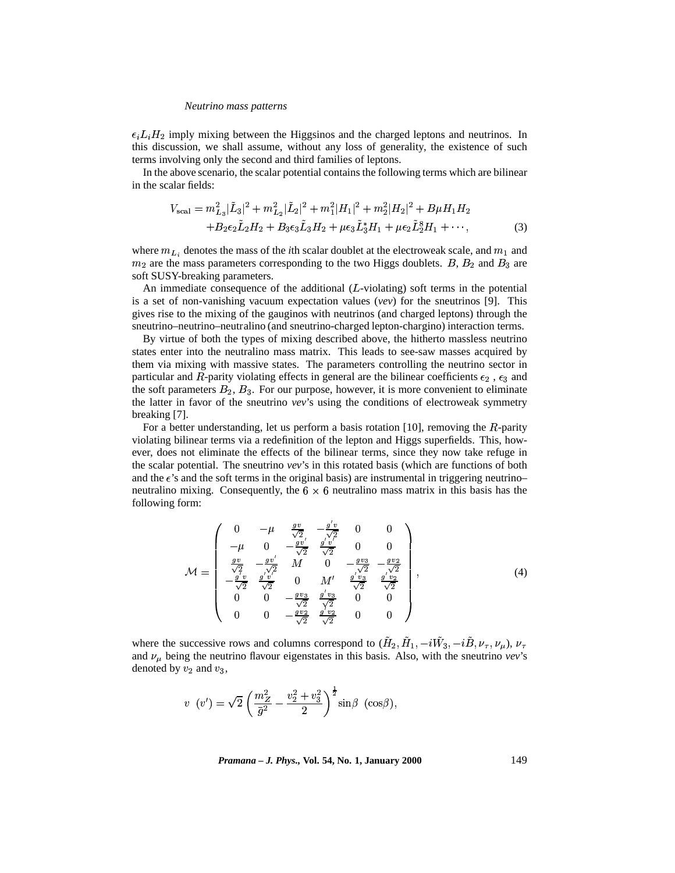#### *Neutrino mass patterns*

this discussion, we shall assume, without any loss of generality, the existence of such  $L<sub>i</sub>H<sub>2</sub>$  imply mixing between the Higgsinos and the charged leptons and neutrinos. In terms involving only the second and third families of leptons.

In the above scenario, the scalar potential contains the following terms which are bilinear in the scalar fields:

$$
V_{\text{scal}} = m_{L_3}^2 |\tilde{L}_3|^2 + m_{L_2}^2 |\tilde{L}_2|^2 + m_1^2 |H_1|^2 + m_2^2 |H_2|^2 + B \mu H_1 H_2
$$
  
+ 
$$
B_2 \epsilon_2 \tilde{L}_2 H_2 + B_3 \epsilon_3 \tilde{L}_3 H_2 + \mu \epsilon_3 \tilde{L}_3^* H_1 + \mu \epsilon_2 \tilde{L}_2^8 H_1 + \cdots,
$$
 (3)

where  $m_{L_i}$  denotes the mass of the *i*th scalar doublet at the electroweak scale, and  $m_1$  and  $m_2$  are the mass parameters corresponding to the two Higgs doublets. B,  $B_2$  and  $B_3$  are soft SUSY-breaking parameters.

An immediate consequence of the additional  $(L$ -violating) soft terms in the potential is a set of non-vanishing vacuum expectation values (*vev*) for the sneutrinos [9]. This gives rise to the mixing of the gauginos with neutrinos (and charged leptons) through the sneutrino–neutrino–neutralino (and sneutrino-charged lepton-chargino) interaction terms.

By virtue of both the types of mixing described above, the hitherto massless neutrino states enter into the neutralino mass matrix. This leads to see-saw masses acquired by them via mixing with massive states. The parameters controlling the neutrino sector in particular and R-parity violating effects in general are the bilinear coefficients  $\epsilon_2$ ,  $\epsilon_3$  and the soft parameters  $B_2$ ,  $B_3$ . For our purpose, however, it is more convenient to eliminate the latter in favor of the sneutrino *vev*'s using the conditions of electroweak symmetry breaking [7].

For a better understanding, let us perform a basis rotation [10], removing the  $R$ -parity violating bilinear terms via a redefinition of the lepton and Higgs superfields. This, however, does not eliminate the effects of the bilinear terms, since they now take refuge in the scalar potential. The sneutrino *vev*'s in this rotated basis (which are functions of both and the  $\epsilon$ 's and the soft terms in the original basis) are instrumental in triggering neutrino– neutralino mixing. Consequently, the  $6 \times 6$  neutralino mass matrix in this basis has the following form:

$$
\mathcal{M} = \begin{pmatrix}\n0 & -\mu & \frac{gv}{\sqrt{2}} & -\frac{g'v}{\sqrt{2}} & 0 & 0 \\
-\mu & 0 & -\frac{gv'}{\sqrt{2}} & \frac{g'v'}{\sqrt{2}} & 0 & 0 \\
\frac{gv}{\sqrt{2}} & -\frac{gv'}{\sqrt{2}} & M & 0 & -\frac{gv_3}{\sqrt{2}} & -\frac{gv_2}{\sqrt{2}} \\
-\frac{g'v}{\sqrt{2}} & \frac{g'v'}{\sqrt{2}} & 0 & M' & \frac{g'v_3}{\sqrt{2}} & \frac{g'v_2}{\sqrt{2}} \\
0 & 0 & -\frac{gv_3}{\sqrt{2}} & \frac{g'v_3}{\sqrt{2}} & 0 & 0 \\
0 & 0 & -\frac{gv_2}{\sqrt{2}} & \frac{g'v_2}{\sqrt{2}} & 0 & 0\n\end{pmatrix},
$$
\n(4)

where the successive rows and columns correspond to  $(\tilde{H}_2, \tilde{H}_1, -i\tilde{W}_3, -i\tilde{B})$ and  $\nu_{\mu}$  being the neutrino flavour eigenstates in this basis. Also, with the sneutrino *vev*'s  $-i\tilde{B}, \nu_{\tau}, \nu_{\mu}), \, \nu_{\tau}$ denoted by  $v_2$  and  $v_3$ ,

$$
v_{-}(v') = \sqrt{2} \left( \frac{m_Z^2}{\bar{g}^2} - \frac{v_2^2 + v_3^2}{2} \right)^{\frac{1}{2}} \sin \beta \ (\cos \beta),
$$

*Pramana – J. Phys.,* **Vol. 54, No. 1, January 2000** 149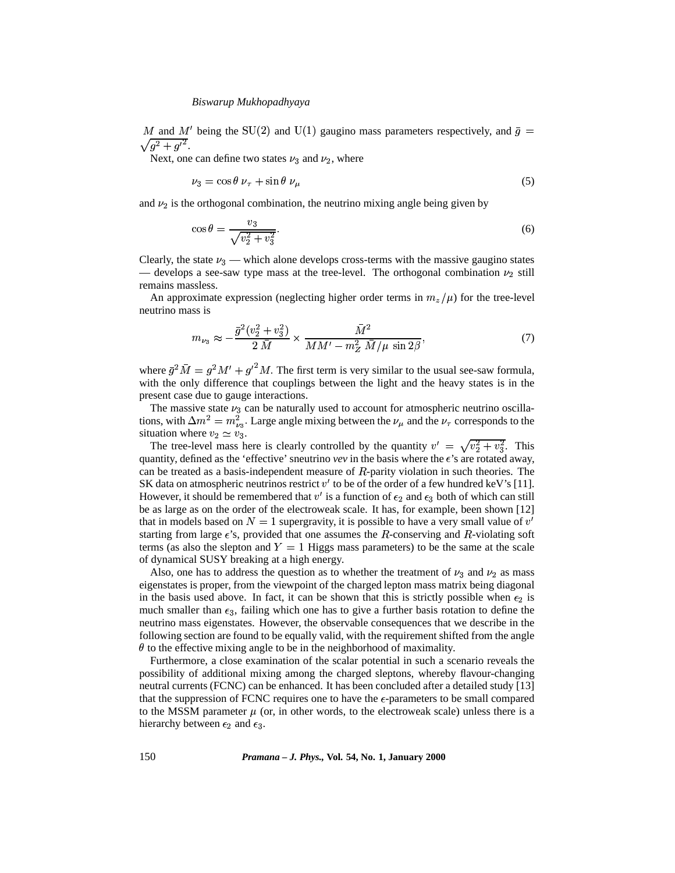$\sqrt{g^2 + g'^2}$ . M and M' being the SU(2) and U(1) gaugino mass parameters respectively, and  $\bar{g}$  =

Next, one can define two states  $\nu_3$  and  $\nu_2$ , where

$$
\nu_3 = \cos \theta \,\nu_\tau + \sin \theta \,\nu_\mu \tag{5}
$$

and  $\nu_2$  is the orthogonal combination, the neutrino mixing angle being given by

$$
\cos \theta = \frac{v_3}{\sqrt{v_2^2 + v_3^2}}.\tag{6}
$$

Clearly, the state  $\nu_3$  — which alone develops cross-terms with the massive gaugino states — develops a see-saw type mass at the tree-level. The orthogonal combination  $\nu_2$  still remains massless.

An approximate expression (neglecting higher order terms in  $m_z/\mu$ ) for the tree-level neutrino mass is

$$
m_{\nu_3} \approx -\frac{\bar{g}^2(v_2^2 + v_3^2)}{2\,\bar{M}} \times \frac{\bar{M}^2}{M M' - m_Z^2\,\bar{M}/\mu\,\sin 2\beta},\tag{7}
$$

where  $\bar{g}^2 \bar{M} = g^2 M' + {g'}^2 M$ . The first term is very similar to the usual see-saw formula, where  $g_{12} = g_{12} + g_{21}$ . The first term is very similar to the usual see saw formina,<br>with the only difference that couplings between the light and the heavy states is in the present case due to gauge interactions.

The massive state  $\nu_3$  can be naturally used to account for atmospheric neutrino oscillations, with  $\Delta m^2 = m_{\nu_2}^2$ . Large angle mixing between the  $\nu_\mu$  and the  $\nu_\tau$  corresponds to the situation where  $v_2 \simeq v_3$ .

The tree-level mass here is clearly controlled by the quantity  $v' = \sqrt{v_2^2 + v_3^2}$ . This quantity, defined as the 'effective' sneutrino *vev* in the basis where the  $\epsilon$ 's are rotated away, can be treated as a basis-independent measure of  $R$ -parity violation in such theories. The SK data on atmospheric neutrinos restrict  $v'$  to be of the order of a few hundred keV's [11]. However, it should be remembered that  $v'$  is a function of  $\epsilon_2$  and  $\epsilon_3$  both of which can still be as large as on the order of the electroweak scale. It has, for example, been shown [12] that in models based on  $N = 1$  supergravity, it is possible to have a very small value of  $v'$ starting from large  $\epsilon$ 's, provided that one assumes the R-conserving and R-violating soft terms (as also the slepton and  $Y = 1$  Higgs mass parameters) to be the same at the scale of dynamical SUSY breaking at a high energy.

Also, one has to address the question as to whether the treatment of  $\nu_3$  and  $\nu_2$  as mass eigenstates is proper, from the viewpoint of the charged lepton mass matrix being diagonal in the basis used above. In fact, it can be shown that this is strictly possible when  $\epsilon_2$  is much smaller than  $\epsilon_3$ , failing which one has to give a further basis rotation to define the neutrino mass eigenstates. However, the observable consequences that we describe in the following section are found to be equally valid, with the requirement shifted from the angle  $\theta$  to the effective mixing angle to be in the neighborhood of maximality.

Furthermore, a close examination of the scalar potential in such a scenario reveals the possibility of additional mixing among the charged sleptons, whereby flavour-changing neutral currents (FCNC) can be enhanced. It has been concluded after a detailed study [13] that the suppression of FCNC requires one to have the  $\epsilon$ -parameters to be small compared to the MSSM parameter  $\mu$  (or, in other words, to the electroweak scale) unless there is a hierarchy between  $\epsilon_2$  and  $\epsilon_3$ .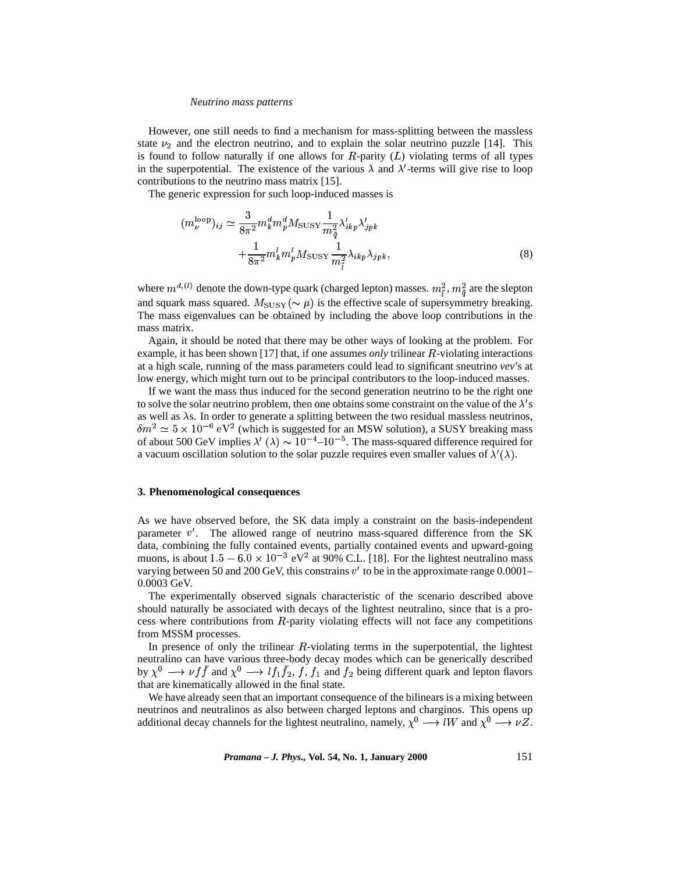#### *Neutrino mass patterns*

However, one still needs to find a mechanism for mass-splitting between the massless state  $\nu_2$  and the electron neutrino, and to explain the solar neutrino puzzle [14]. This is found to follow naturally if one allows for  $R$ -parity  $(L)$  violating terms of all types in the superpotential. The existence of the various  $\lambda$  and  $\lambda'$ -terms will give rise to loop contributions to the neutrino mass matrix [15].

The generic expression for such loop-induced masses is

$$
(m_{\nu}^{\text{loop}})_{ij} \simeq \frac{3}{8\pi^2} m_k^d m_p^d M_{\text{SUSY}} \frac{1}{m_{\tilde{q}}^2} \lambda'_{ikp} \lambda'_{jpk}
$$

$$
+ \frac{1}{8\pi^2} m_k^l m_p^l M_{\text{SUSY}} \frac{1}{m_{\tilde{t}}^2} \lambda_{ikp} \lambda_{jpk}, \tag{8}
$$

where  $m^{d,(l)}$  denote the down-type quark (charged lepton) masses.  $m_{\tilde{i}}^2$ ,  $m_{\tilde{a}}^2$  are the slepton and squark mass squared.  $M_{SUSY}(\sim \mu)$  is the effective scale of supersymmetry breaking. <sup>r</sup> The mass eigenvalues can be obtained by including the above loop contributions in the mass matrix.

Again, it should be noted that there may be other ways of looking at the problem. For example, it has been shown [17] that, if one assumes *only* trilinear  $R$ -violating interactions at a high scale, running of the mass parameters could lead to significant sneutrino *vev*'s at low energy, which might turn out to be principal contributors to the loop-induced masses.

If we want the mass thus induced for the second generation neutrino to be the right one to solve the solar neutrino problem, then one obtains some constraint on the value of the  $\lambda$ 's as well as  $\lambda$ s. In order to generate a splitting between the two residual massless neutrinos,  $\delta m^2 \simeq 5 \times 10^{-6} \text{ eV}^2$  (which is suggested for an MSW solution), a SUSY breaking mass of about 500 GeV implies  $\lambda'(\lambda) \sim 10^{-4}$ –10<sup>-5</sup>. The mass-squared difference required for a vacuum oscillation solution to the solar puzzle requires even smaller values of  $\lambda'(\lambda)$ .

## **3. Phenomenological consequences**

As we have observed before, the SK data imply a constraint on the basis-independent parameter  $v'$ . The allowed range of neutrino mass-squared difference from the SK data, combining the fully contained events, partially contained events and upward-going muons, is about  $1.5 - 6.0 \times 10^{-3}$ muons, is about  $1.5 - 6.0 \times 10^{-3}$  eV<sup>2</sup> at 90% C.L. [18]. For the lightest neutralino mass varying between 50 and 200 GeV, this constrains  $v'$  to be in the approximate range 0.0001– 0.0003 GeV.

The experimentally observed signals characteristic of the scenario described above should naturally be associated with decays of the lightest neutralino, since that is a process where contributions from  $R$ -parity violating effects will not face any competitions from MSSM processes.

In presence of only the trilinear  $R$ -violating terms in the superpotential, the lightest neutralino can have various three-body decay modes which can be generically described by  $\chi^0 \longrightarrow \nu f \bar{f}$  and  $\chi^0 \longrightarrow l f_1 \bar{f}_2$ , f,  $f_1$  and  $f_2$  being different quark and lepton flavors that are kinematically allowed in the final state.

We have already seen that an important consequence of the bilinears is a mixing between neutrinos and neutralinos as also between charged leptons and charginos. This opens up additional decay channels for the lightest neutralino, namely,  $\chi^0 \longrightarrow lW$  and  $\chi^0 \longrightarrow \nu Z$ .

*Pramana – J. Phys.,* **Vol. 54, No. 1, January 2000** 151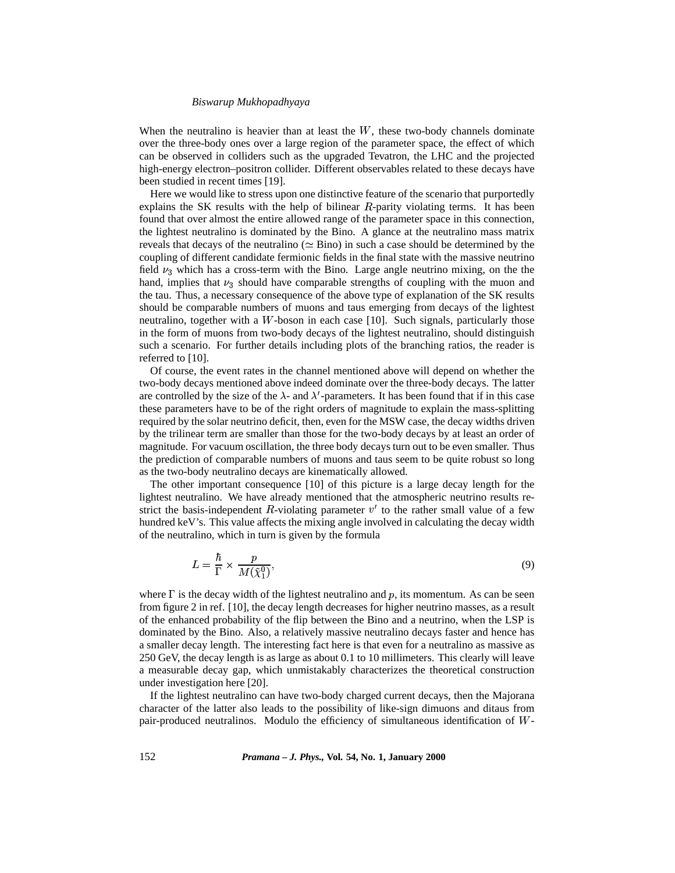When the neutralino is heavier than at least the  $W$ , these two-body channels dominate over the three-body ones over a large region of the parameter space, the effect of which can be observed in colliders such as the upgraded Tevatron, the LHC and the projected high-energy electron–positron collider. Different observables related to these decays have been studied in recent times [19].

Here we would like to stress upon one distinctive feature of the scenario that purportedly explains the SK results with the help of bilinear  $R$ -parity violating terms. It has been found that over almost the entire allowed range of the parameter space in this connection, the lightest neutralino is dominated by the Bino. A glance at the neutralino mass matrix reveals that decays of the neutralino ( $\simeq$  Bino) in such a case should be determined by the coupling of different candidate fermionic fields in the final state with the massive neutrino field  $\nu_3$  which has a cross-term with the Bino. Large angle neutrino mixing, on the the hand, implies that  $\nu_3$  should have comparable strengths of coupling with the muon and the tau. Thus, a necessary consequence of the above type of explanation of the SK results should be comparable numbers of muons and taus emerging from decays of the lightest neutralino, together with a  $W$ -boson in each case [10]. Such signals, particularly those in the form of muons from two-body decays of the lightest neutralino, should distinguish such a scenario. For further details including plots of the branching ratios, the reader is referred to [10].

Of course, the event rates in the channel mentioned above will depend on whether the two-body decays mentioned above indeed dominate over the three-body decays. The latter are controlled by the size of the  $\lambda$ - and  $\lambda'$ -parameters. It has been found that if in this case these parameters have to be of the right orders of magnitude to explain the mass-splitting required by the solar neutrino deficit, then, even for the MSW case, the decay widths driven by the trilinear term are smaller than those for the two-body decays by at least an order of magnitude. For vacuum oscillation, the three body decays turn out to be even smaller. Thus the prediction of comparable numbers of muons and taus seem to be quite robust so long as the two-body neutralino decays are kinematically allowed.

The other important consequence [10] of this picture is a large decay length for the lightest neutralino. We have already mentioned that the atmospheric neutrino results restrict the basis-independent  $R$ -violating parameter  $v'$  to the rather small value of a few hundred keV's. This value affects the mixing angle involved in calculating the decay width of the neutralino, which in turn is given by the formula

$$
L = \frac{\hbar}{\Gamma} \times \frac{p}{M(\tilde{\chi}_1^0)},\tag{9}
$$

where  $\Gamma$  is the decay width of the lightest neutralino and p, its momentum. As can be seen from figure 2 in ref. [10], the decay length decreases for higher neutrino masses, as a result of the enhanced probability of the flip between the Bino and a neutrino, when the LSP is dominated by the Bino. Also, a relatively massive neutralino decays faster and hence has a smaller decay length. The interesting fact here is that even for a neutralino as massive as 250 GeV, the decay length is as large as about 0.1 to 10 millimeters. This clearly will leave a measurable decay gap, which unmistakably characterizes the theoretical construction under investigation here [20].

If the lightest neutralino can have two-body charged current decays, then the Majorana character of the latter also leads to the possibility of like-sign dimuons and ditaus from pair-produced neutralinos. Modulo the efficiency of simultaneous identification of W-

152 *Pramana – J. Phys.,* **Vol. 54, No. 1, January 2000**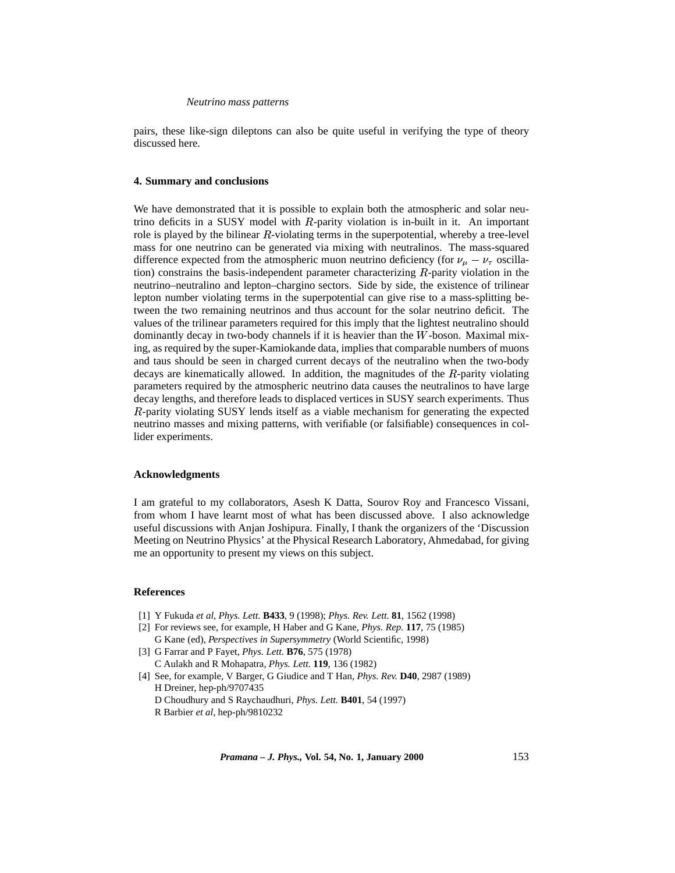#### *Neutrino mass patterns*

pairs, these like-sign dileptons can also be quite useful in verifying the type of theory discussed here.

## **4. Summary and conclusions**

We have demonstrated that it is possible to explain both the atmospheric and solar neutrino deficits in a SUSY model with  $R$ -parity violation is in-built in it. An important role is played by the bilinear  $R$ -violating terms in the superpotential, whereby a tree-level mass for one neutrino can be generated via mixing with neutralinos. The mass-squared difference expected from the atmospheric muon neutrino deficiency (for  $\nu_{\mu} - \nu_{\tau}$  oscillation) constrains the basis-independent parameter characterizing  $R$ -parity violation in the neutrino–neutralino and lepton–chargino sectors. Side by side, the existence of trilinear lepton number violating terms in the superpotential can give rise to a mass-splitting between the two remaining neutrinos and thus account for the solar neutrino deficit. The values of the trilinear parameters required for this imply that the lightest neutralino should dominantly decay in two-body channels if it is heavier than the W-boson. Maximal mixing, as required by the super-Kamiokande data, implies that comparable numbers of muons and taus should be seen in charged current decays of the neutralino when the two-body decays are kinematically allowed. In addition, the magnitudes of the  $R$ -parity violating parameters required by the atmospheric neutrino data causes the neutralinos to have large decay lengths, and therefore leads to displaced vertices in SUSY search experiments. Thus -parity violating SUSY lends itself as a viable mechanism for generating the expected neutrino masses and mixing patterns, with verifiable (or falsifiable) consequences in collider experiments.

# **Acknowledgments**

I am grateful to my collaborators, Asesh K Datta, Sourov Roy and Francesco Vissani, from whom I have learnt most of what has been discussed above. I also acknowledge useful discussions with Anjan Joshipura. Finally, I thank the organizers of the 'Discussion Meeting on Neutrino Physics' at the Physical Research Laboratory, Ahmedabad, for giving me an opportunity to present my views on this subject.

### **References**

- [1] Y Fukuda *et al*, *Phys. Lett.* **B433**, 9 (1998); *Phys. Rev. Lett.* **81**, 1562 (1998)
- [2] For reviews see, for example, H Haber and G Kane, *Phys. Rep.* **117**, 75 (1985) G Kane (ed), *Perspectives in Supersymmetry* (World Scientific, 1998)
- [3] G Farrar and P Fayet, *Phys. Lett.* **B76**, 575 (1978) C Aulakh and R Mohapatra, *Phys. Lett.* **119**, 136 (1982)
- [4] See, for example, V Barger, G Giudice and T Han, *Phys. Rev.* **D40**, 2987 (1989) H Dreiner, hep-ph/9707435
	- D Choudhury and S Raychaudhuri, *Phys. Lett.* **B401**, 54 (1997)
	- R Barbier *et al*, hep-ph/9810232

*Pramana – J. Phys.,* **Vol. 54, No. 1, January 2000** 153